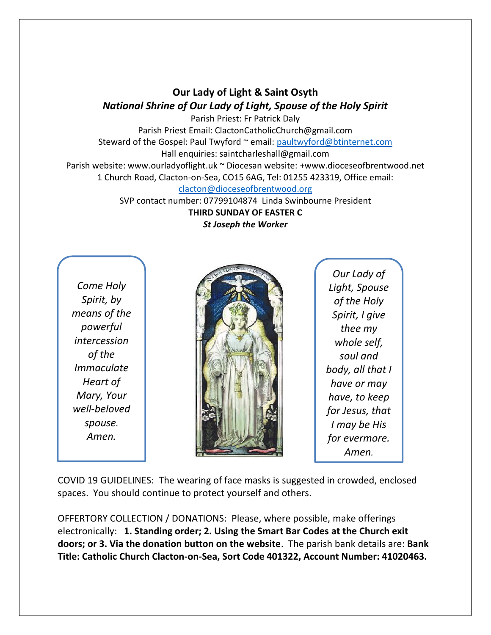## **Our Lady of Light & Saint Osyth** *National Shrine of Our Lady of Light, Spouse of the Holy Spirit*

Parish Priest: Fr Patrick Daly Parish Priest Email: ClactonCatholicChurch@gmail.com Steward of the Gospel: Paul Twyford ~ email: [paultwyford@btinternet.com](mailto:paultwyford@btinternet.com) Hall enquiries: saintcharleshall@gmail.com Parish website: www.ourladyoflight.uk ~ Diocesan website: +www.dioceseofbrentwood.net 1 Church Road, Clacton-on-Sea, CO15 6AG, Tel: 01255 423319, Office email:

[clacton@dioceseofbrentwood.org](mailto:clacton@dioceseofbrentwood.org)

SVP contact number: 07799104874 Linda Swinbourne President **THIRD SUNDAY OF EASTER C** *St Joseph the Worker*

*Come Holy Spirit, by means of the powerful intercession of the Immaculate Heart of Mary, Your well-beloved spouse. Amen.*



*Our Lady of Light, Spouse of the Holy Spirit, I give thee my whole self, soul and body, all that I have or may have, to keep for Jesus, that I may be His for evermore. Amen.*

COVID 19 GUIDELINES: The wearing of face masks is suggested in crowded, enclosed spaces. You should continue to protect yourself and others.

OFFERTORY COLLECTION / DONATIONS: Please, where possible, make offerings electronically: **1. Standing order; 2. Using the Smart Bar Codes at the Church exit doors; or 3. Via the donation button on the website**. The parish bank details are: **Bank Title: Catholic Church Clacton-on-Sea, Sort Code 401322, Account Number: 41020463.**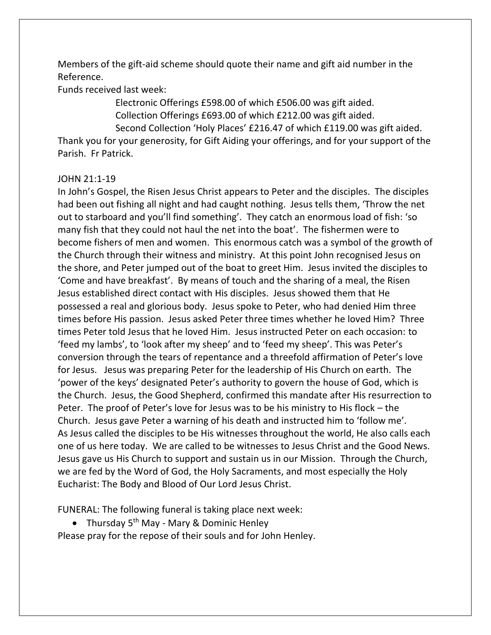Members of the gift-aid scheme should quote their name and gift aid number in the Reference.

Funds received last week:

Electronic Offerings £598.00 of which £506.00 was gift aided. Collection Offerings £693.00 of which £212.00 was gift aided. Second Collection 'Holy Places' £216.47 of which £119.00 was gift aided.

Thank you for your generosity, for Gift Aiding your offerings, and for your support of the Parish. Fr Patrick.

## JOHN 21:1-19

In John's Gospel, the Risen Jesus Christ appears to Peter and the disciples. The disciples had been out fishing all night and had caught nothing. Jesus tells them, 'Throw the net out to starboard and you'll find something'. They catch an enormous load of fish: 'so many fish that they could not haul the net into the boat'. The fishermen were to become fishers of men and women. This enormous catch was a symbol of the growth of the Church through their witness and ministry. At this point John recognised Jesus on the shore, and Peter jumped out of the boat to greet Him. Jesus invited the disciples to 'Come and have breakfast'. By means of touch and the sharing of a meal, the Risen Jesus established direct contact with His disciples. Jesus showed them that He possessed a real and glorious body. Jesus spoke to Peter, who had denied Him three times before His passion. Jesus asked Peter three times whether he loved Him? Three times Peter told Jesus that he loved Him. Jesus instructed Peter on each occasion: to 'feed my lambs', to 'look after my sheep' and to 'feed my sheep'. This was Peter's conversion through the tears of repentance and a threefold affirmation of Peter's love for Jesus. Jesus was preparing Peter for the leadership of His Church on earth. The 'power of the keys' designated Peter's authority to govern the house of God, which is the Church. Jesus, the Good Shepherd, confirmed this mandate after His resurrection to Peter. The proof of Peter's love for Jesus was to be his ministry to His flock – the Church. Jesus gave Peter a warning of his death and instructed him to 'follow me'. As Jesus called the disciples to be His witnesses throughout the world, He also calls each one of us here today. We are called to be witnesses to Jesus Christ and the Good News. Jesus gave us His Church to support and sustain us in our Mission. Through the Church, we are fed by the Word of God, the Holy Sacraments, and most especially the Holy Eucharist: The Body and Blood of Our Lord Jesus Christ.

FUNERAL: The following funeral is taking place next week:

• Thursday  $5<sup>th</sup>$  May - Mary & Dominic Henley

Please pray for the repose of their souls and for John Henley.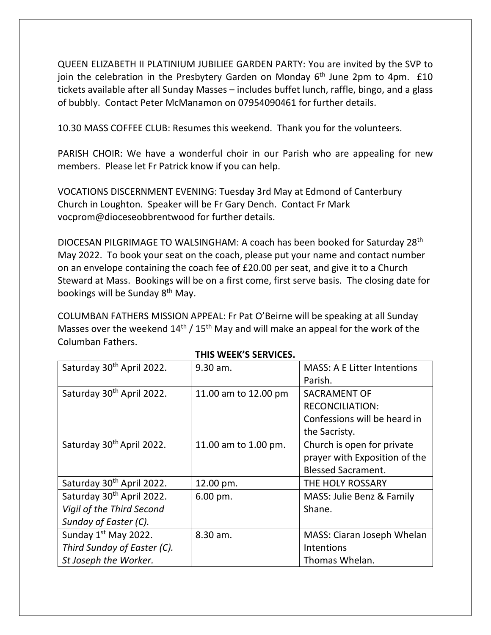QUEEN ELIZABETH II PLATINIUM JUBILIEE GARDEN PARTY: You are invited by the SVP to join the celebration in the Presbytery Garden on Monday  $6<sup>th</sup>$  June 2pm to 4pm.  $£10$ tickets available after all Sunday Masses – includes buffet lunch, raffle, bingo, and a glass of bubbly. Contact Peter McManamon on 07954090461 for further details.

10.30 MASS COFFEE CLUB: Resumes this weekend. Thank you for the volunteers.

PARISH CHOIR: We have a wonderful choir in our Parish who are appealing for new members. Please let Fr Patrick know if you can help.

VOCATIONS DISCERNMENT EVENING: Tuesday 3rd May at Edmond of Canterbury Church in Loughton. Speaker will be Fr Gary Dench. Contact Fr Mark vocprom@dioceseobbrentwood for further details.

DIOCESAN PILGRIMAGE TO WALSINGHAM: A coach has been booked for Saturday 28th May 2022. To book your seat on the coach, please put your name and contact number on an envelope containing the coach fee of £20.00 per seat, and give it to a Church Steward at Mass. Bookings will be on a first come, first serve basis. The closing date for bookings will be Sunday 8<sup>th</sup> May.

COLUMBAN FATHERS MISSION APPEAL: Fr Pat O'Beirne will be speaking at all Sunday Masses over the weekend  $14<sup>th</sup>$  /  $15<sup>th</sup>$  May and will make an appeal for the work of the Columban Fathers.

| Saturday 30 <sup>th</sup> April 2022. | 9.30 am.               | <b>MASS: A E Litter Intentions</b> |
|---------------------------------------|------------------------|------------------------------------|
|                                       |                        | Parish.                            |
| Saturday 30 <sup>th</sup> April 2022. | 11.00 am to 12.00 pm   | <b>SACRAMENT OF</b>                |
|                                       |                        | <b>RECONCILIATION:</b>             |
|                                       |                        | Confessions will be heard in       |
|                                       |                        | the Sacristy.                      |
| Saturday 30 <sup>th</sup> April 2022. | 11.00 am to 1.00 pm.   | Church is open for private         |
|                                       |                        | prayer with Exposition of the      |
|                                       |                        | <b>Blessed Sacrament.</b>          |
| Saturday 30 <sup>th</sup> April 2022. | 12.00 pm.              | THE HOLY ROSSARY                   |
| Saturday 30 <sup>th</sup> April 2022. | $6.00 \,\mathrm{pm}$ . | MASS: Julie Benz & Family          |
| Vigil of the Third Second             |                        | Shane.                             |
| Sunday of Easter (C).                 |                        |                                    |
| Sunday 1 <sup>st</sup> May 2022.      | 8.30 am.               | MASS: Ciaran Joseph Whelan         |
| Third Sunday of Easter (C).           |                        | Intentions                         |
| St Joseph the Worker.                 |                        | Thomas Whelan.                     |

## **THIS WEEK'S SERVICES.**